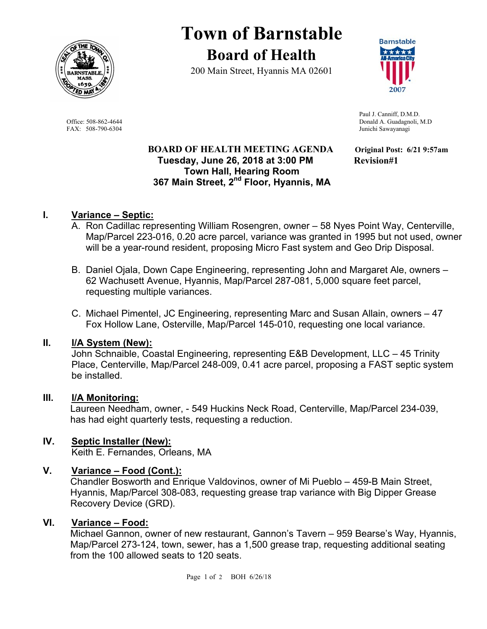

# **Town of Barnstable Board of Health**

200 Main Street, Hyannis MA 02601



FAX: 508-790-6304 Junichi Sawayanagi

#### **BOARD OF HEALTH MEETING AGENDA Original Post: 6/21 9:57am Tuesday, June 26, 2018 at 3:00 PM Revision#1 Town Hall, Hearing Room 367 Main Street, 2nd Floor, Hyannis, MA**

 Paul J. Canniff, D.M.D. Office: 508-862-4644 Donald A. Guadagnoli, M.D

### **I. Variance – Septic:**

- A. Ron Cadillac representing William Rosengren, owner 58 Nyes Point Way, Centerville, Map/Parcel 223-016, 0.20 acre parcel, variance was granted in 1995 but not used, owner will be a year-round resident, proposing Micro Fast system and Geo Drip Disposal.
- B. Daniel Ojala, Down Cape Engineering, representing John and Margaret Ale, owners 62 Wachusett Avenue, Hyannis, Map/Parcel 287-081, 5,000 square feet parcel, requesting multiple variances.
- C. Michael Pimentel, JC Engineering, representing Marc and Susan Allain, owners 47 Fox Hollow Lane, Osterville, Map/Parcel 145-010, requesting one local variance.

#### **II. I/A System (New):**

John Schnaible, Coastal Engineering, representing E&B Development, LLC – 45 Trinity Place, Centerville, Map/Parcel 248-009, 0.41 acre parcel, proposing a FAST septic system be installed.

#### **III. I/A Monitoring:**

Laureen Needham, owner, - 549 Huckins Neck Road, Centerville, Map/Parcel 234-039, has had eight quarterly tests, requesting a reduction.

## **IV. Septic Installer (New):**

Keith E. Fernandes, Orleans, MA

#### **V. Variance – Food (Cont.):**

Chandler Bosworth and Enrique Valdovinos, owner of Mi Pueblo – 459-B Main Street, Hyannis, Map/Parcel 308-083, requesting grease trap variance with Big Dipper Grease Recovery Device (GRD).

#### **VI. Variance – Food:**

Michael Gannon, owner of new restaurant, Gannon's Tavern – 959 Bearse's Way, Hyannis, Map/Parcel 273-124, town, sewer, has a 1,500 grease trap, requesting additional seating from the 100 allowed seats to 120 seats.